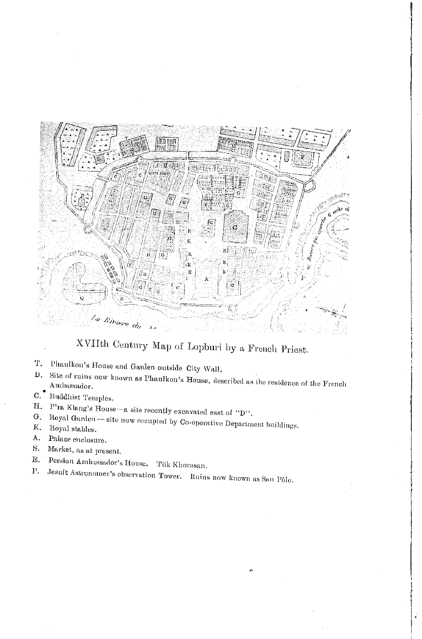

# XVIIth Century Map of Lopburi by a French Priest.

- Т. Phaulkon's House and Garden outside City Wall.
- Site of ruins now known as Phaulkon's House, described as the residence of the French  $D_{+}$ Ambassador.
- Buddhist Temples.  $\mathbf{C}$
- P'ra Klang's House-a site recently excavated east of "D". Ή. G.
- Royal Garden --- site now occupied by Co-operative Department buildings. К. Royal stables.
- A.
- Palace enclosure.
- $\mathbf{S}.$ Market, as at present.
- Persian Ambassador's House. Е. Tük Khorasan.  ${\bf P}$

Jesuit Astronomer's observation Tower. Ruins now known as San Pôlo.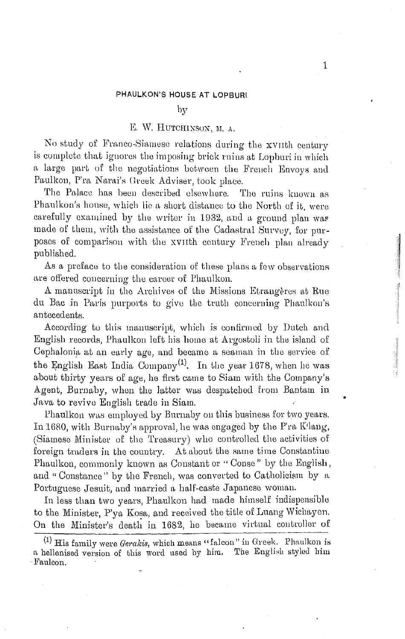### PHAULKON'S HOUSE AT LOPBURI

 $_{\rm by}$ 

## E. W. HUTCHINSON, M. A.

No study of Franco-Siamese relations during the xviith century is complete that ignores the imposing brick ruins at Lopburi in which a large part of the negotiations between the French Envoys and Paulkon, P'ra Narai's Greek Adviser, took place.

The Palace has been described elsewhere. The ruins known as Phaulkon's house, which lie a short distance to the North of it, were carefully examined by the writer in 1932, and a ground plan was made of them, with the assistance of the Cadastral Survey, for purposes of comparison with the xviith century French plan already published.

As a preface to the consideration of these plans a few observations are offered concerning the career of Phaulkon.

A manuscript in the Archives of the Missions Etrangeres at Rue du Bac in Paris purports to give the truth concerning Phaulkon's antecedents.

According to this manuscript, which is confirmed by Dutch and English records, Phaulkon left his home at Argostoli in the island of Cephalonia at an early age, and became a seaman in the service of the English East India Company<sup>(1)</sup>. In the year 1678, when he was about thirty years of age, he first came to Siam with the Company's Agent, Burnaby, when the latter was despatched from Bantam in Java to revive English trade in Siam.

Phaulkon was employed by Burnaby on this business for two years. In 1680, with Burnaby's approval, he was engaged by the Pra Klang, (Siamese Minister of the Treasury) who controlled the activities of foreign traders in the country. At about the same time Constantine Phaulkon, commonly known as Constant or "Conse" by the English, and "Constance" by the French, was converted to Catholicism by a Portuguese Jesuit, and married a half-caste Japanese woman.

In less than two years, Phaulkon had made himself indispensible to the Minister, P'ya Kosa, and received the title of Luang Wichayen. On the Minister's death in 1682, he became virtual controller of

 $^{(1)}$  His family were *Gerakis*, which means "falcon" in Greek. Phaulkon is a hellenised version of this word used by him. The English styled him -Faulcon.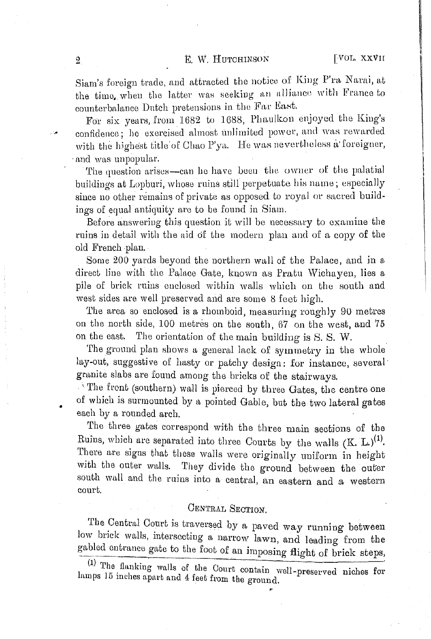E. W. HUTCHINSON

Siam's foreign trade, and attracted the notice of King P'ra Narai, at the time, when the latter was seeking an alliance with France to counterbalance Dutch pretensions in the Far East.

For six years, from 1682 to 1688, Phaulkon enjoyed the King's confidence; he exercised almost unlimited power, and was rewarded with the highest title of Chao P'ya. He was nevertheless a foreigner, and was unpopular.

The question arises—can he have been the owner of the palatial buildings at Lopburi, whose ruins still perpetuate his name; especially since no other remains of private as opposed to royal or sacred buildings of equal antiquity are to be found in Siam.

Before answering this question it will be necessary to examine the ruins in detail with the aid of the modern plan and of a copy of the old French plan.

Some 200 yards beyond the northern wall of the Palace, and in a direct line with the Palace Gate, known as Pratu Wichayen, lies a pile of brick ruins enclosed within walls which on the south and west sides are well preserved and are some 8 feet high.

The area so enclosed is a rhomboid, measuring roughly 90 metres on the north side, 100 metres on the south, 67 on the west, and 75 on the east. The orientation of the main building is S. S. W.

The ground plan shows a general lack of symmetry in the whole lay-out, suggestive of hasty or patchy design: for instance, several granite slabs are found among the bricks of the stairways.

The front (southern) wall is pierced by three Gates, the centre one of which is surmounted by a pointed Gable, but the two lateral gates each by a rounded arch.

The three gates correspond with the three main sections of the Ruins, which are separated into three Courts by the walls  $(K. L)^{(1)}$ . There are signs that these walls were originally uniform in height with the outer walls. They divide the ground between the outer south wall and the ruins into a central, an eastern and a western court.

## CENTRAL SECTION.

The Central Court is traversed by a paved way running between low brick walls, intersecting a narrow lawn, and leading from the gabled entrance gate to the foot of an imposing flight of brick steps,

(1) The flanking walls of the Court contain well-preserved niches for lamps 15 inches apart and 4 feet from the ground.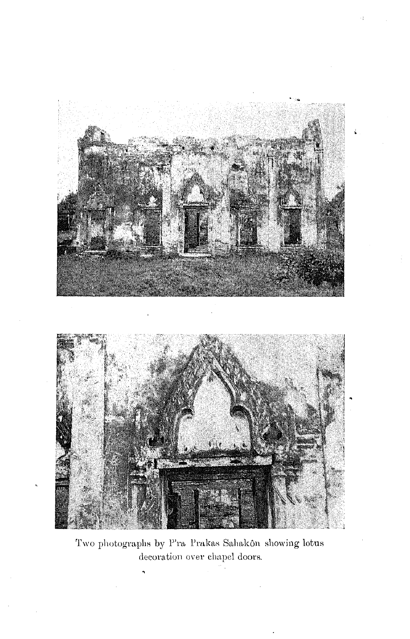

 $\bar{\alpha}$ 

Two photographs by P'ra Prakas Sahakôn showing lotus decoration over chapel doors.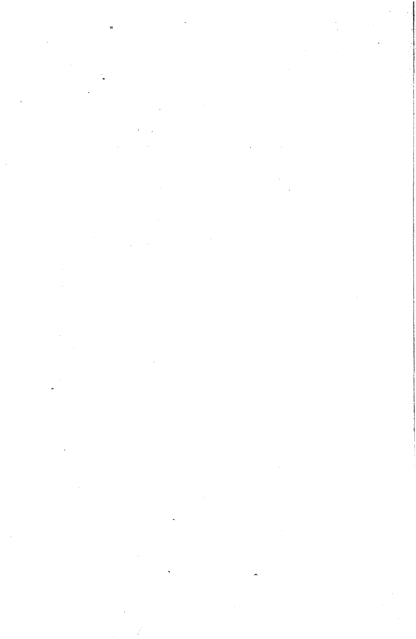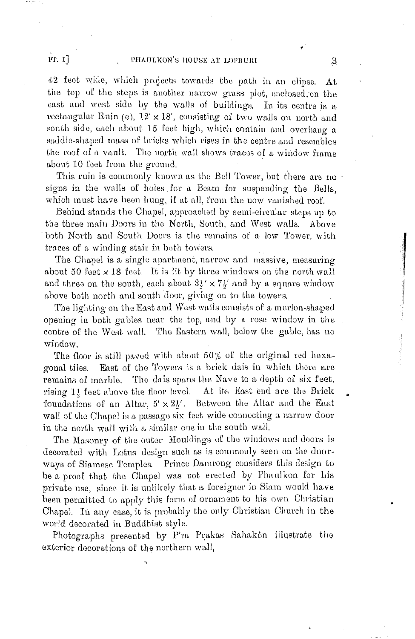42 feet wide, which projects towards the path in an elipse. At the top of the steps is another narrow grass plot, enclosed on the east and west side by the walls of buildings. In its centre is a rectangular Ruin (e),  $12' \times 18'$ , consisting of two walls on north and south side, each about 15 feet high, which contain and overhang a saddle-shaped mass of bricks which rises in the centre and resembles the roof of a vault. The north wall shows traces of a window frame about 10 feet from the ground.

This ruin is commonly known as the Bell Tower, but there are no signs in the walls of holes for a Beam for suspending the Bells. which must have been hung, if at all, from the now vanished roof.

Behind stands the Chapel, approached by semi-circular steps up to the three main Doors in the North, South, and West walls. Above both North and South Doors is the remains of a low Tower, with traces of a winding stair in both towers.

The Chapel is a single apartment, narrow and massive, measuring about 50 feet  $\times$  18 feet. It is lit by three windows on the north wall and three on the south, each about  $3\frac{1}{2} \times 7\frac{1}{2}$  and by a square window above both north and south door, giving on to the towers.

The lighting on the East and West walls consists of a merlon-shaped opening in both gables near the top, and by a rose window in the centre of the West wall. The Eastern wall, below the gable, has no window.

The floor is still paved with about 50% of the original red hexa-East of the Towers is a brick dais in which there are gonal tiles. remains of marble. The dais spans the Nave to a depth of six feet, rising 11 feet above the floor level. At its East end are the Brick foundations of an Altar,  $5' \times 2_{\frac{1}{2}}'$ . Between the Altar and the East wall of the Chapel is a passage six feet wide connecting a narrow door in the north wall with a similar one in the south wall.

The Masonry of the outer Mouldings of the windows and doors is decorated with Lotus design such as is commonly seen on the doorways of Siamese Temples. Prince Damrong considers this design to be a proof that the Chapel was not erected by Phaulkon for his private use, since it is unlikely that a foreigner in Siam would have been permitted to apply this form of ornament to his own Christian Chapel. In any case, it is probably the only Christian Church in the world decorated in Buddhist style.

Photographs presented by P'ra Prakas Sahakôn illustrate the exterior decorations of the northern wall,

PT. 1]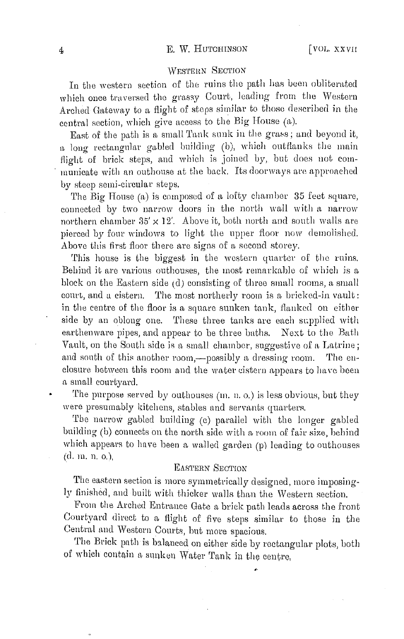## WESTERN SECTION

In the western section of the ruins the path has been obliterated which once traversed the grassy Court, leading from the Western Arched Gateway to a flight of steps similar to those described in the central section, which give access to the Big House  $(a)$ .

East of the path is a small Tank sunk in the grass; and beyond it, a long rectangular gabled building (b), which outflanks the main flight of brick steps, and which is joined by, but does not communicate with an outhouse at the back. Its doorways are approached by steep semi-circular steps.

The Big House (a) is composed of a lofty chamber 35 feet square, connected by two narrow doors in the north wall with a narrow northern chamber  $35' \times 12'$ . Above it, both north and south walls are pierced by four windows to light the upper floor now demolished. Above this first floor there are signs of a second storey.

This house is the biggest in the western quarter of the ruins. Behind it are various outhouses, the most remarkable of which is a block on the Eastern side  $(d)$  consisting of three small rooms, a small court, and a cistern. The most northerly room is a bricked-in vault: in the centre of the floor is a square sunken tank, flanked on either side by an oblong one. These three tanks arc each supplied with earthenware pipes, and appear to be three baths. Next to the Bath Vault, on the South side is a small chamber, suggestive of a Latrine; and south of this another room,—possibly a dressing room. The enclosure between this room and the water cistern appears to have been a small courtyard.

The purpose served by outhouses (m. n. o.) is less obvious, but they were presumably kitchens, stables and servants quarters.

The narrow gabled building (c) parallel with the longer gabled building (b) connects on the north side with a room of fair size, behind which appears to have been a walled garden  $(p)$  leading to outhouses  $(d. \, m. \, n. \, o.),$ 

### **EASTERN SECTION**

The eastern section is more symmetrically designed, more imposingly finished, and built with thicker walls than the Western section.

From the Arched Entrance Gate a brick path leads across the front Courtyard direct to a flight of five steps similar to those in the Central and Western Courts, but more spacious.

The Brick path is balanced on either side by rectangular plots, both of which contain a sunken Water Tank in the centre,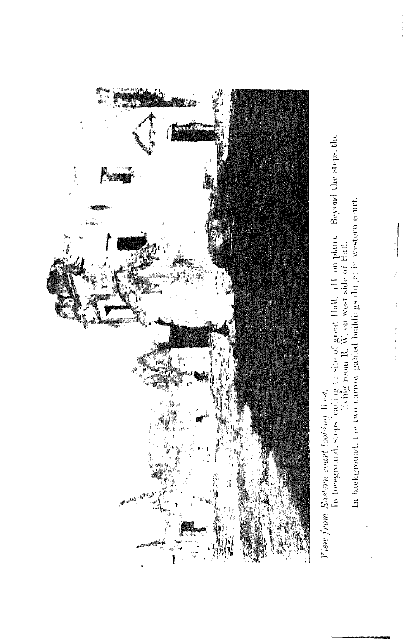

*View from Bastern court looking* West.<br>In foreground, steps leading to site of great Hall, (H, on plan). Beyond the steps, the<br>In background, the two narrow gabled buildings (b) (c) in western court.<br>In background, the t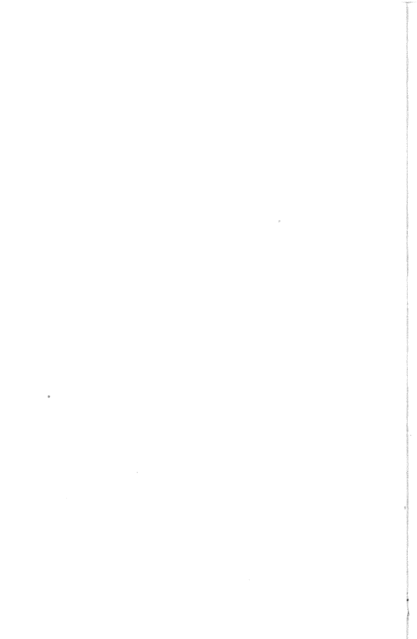$\label{eq:3.1} \mathcal{B}$  $\begin{array}{lll} \Phi & \multicolumn{3}{l}{{\color{blue}\Phi_{\rm{max}}}}\\ \end{array}$ Į.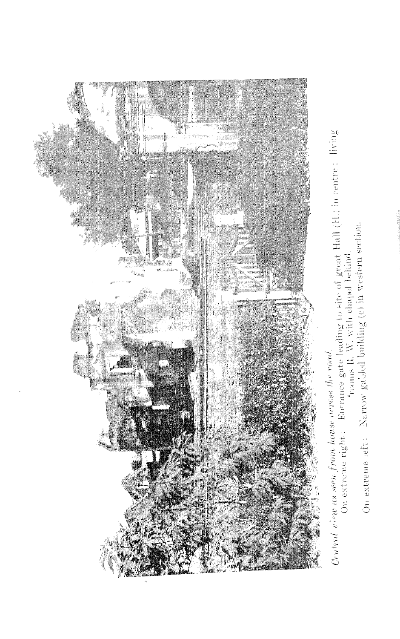

On extreme right: Entrance gate leading to site of great Hall (H.) in centre: living<br>on extreme left: Narrow gabled building (c) in western section.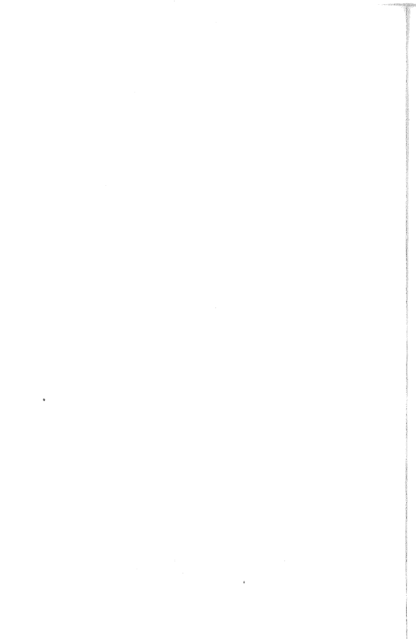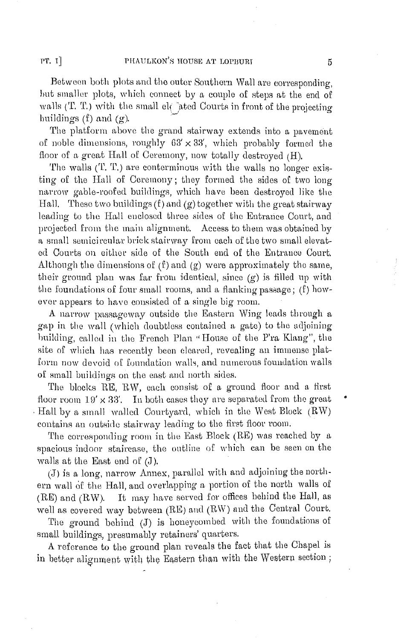PT. 1]

Between both plots and the outer Southern Wall are corresponding. but smaller plots, which connect by a couple of steps at the end of walls (T. T.) with the small eld pated Courts in front of the projecting buildings  $(f)$  and  $(g)$ .

The platform above the grand stairway extends into a payement of noble dimensions, roughly  $63' \times 33'$ , which probably formed the floor of a great Hall of Ceremony, now totally destroyed (H).

The walls (T. T.) are conterminous with the walls no longer existing of the Hall of Ceremony; they formed the sides of two long narrow gable-roofed buildings, which have been destroyed like the Hall. These two buildings  $(f)$  and  $(g)$  together with the great stairway leading to the Hall enclosed three sides of the Entrance Court, and projected from the main alignment. Access to them was obtained by a small semicircular brick stairway from each of the two small elevated Courts on either side of the South end of the Entrance Court. Although the dimensions of  $(f)$  and  $(g)$  were approximately the same, their ground plan was far from identical, since  $(g)$  is filled up with the foundations of four small rooms, and a flanking passage; (f) however appears to have consisted of a single big room.

A narrow passageway outside the Eastern Wing leads through a gap in the wall (which doubtless contained a gate) to the adjoining building, called in the French Plan "House of the Pra Klang", the site of which has recently been cleared, revealing an immense platform now devoid of foundation walls, and numerous foundation walls of small buildings on the east and north sides.

The blocks RE, RW, each consist of a ground floor and a first floor room  $19' \times 33'$ . In both cases they are separated from the great · Hall by a small walled Courtyard, which in the West Block (RW) contains an outside stairway leading to the first floor room.

The corresponding room in the East Block (RE) was reached by a spacious indoor staircase, the outline of which can be seen on the walls at the East end of (J).

(J) is a long, narrow Annex, parallel with and adjoining the northern wall of the Hall, and overlapping a portion of the north walls of It may have served for offices behind the Hall, as  $(RE)$  and  $(RW)$ . well as covered way between (RE) and (RW) and the Central Court.

The ground behind (J) is honeycombed with the foundations of small buildings, presumably retainers' quarters.

A reference to the ground plan reveals the fact that the Chapel is in better alignment with the Eastern than with the Western section;

5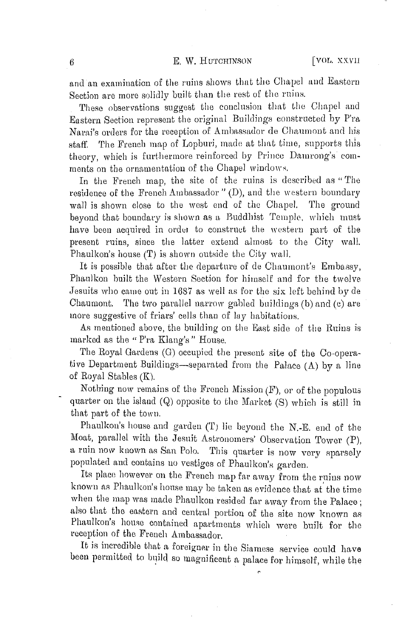and an examination of the ruins shows that the Chapel and Eastern Section are more solidly built than the rest of the ruins.

These observations suggest the conclusion that the Chapel and Eastem Section represent the original Buildings constructed by P'ra Narai's orders for the reception of Ambassador de Chaumont and his staff. The French map of Lopburi, made at that time, supports this theory, which is furthermore reinforced by Prince Damrong's comments on the ornamentation of the Chapel windows.

In the French map, the site of the ruins is described as "The residence of the French Ambassador" (D), and the western boundary wall is shown close to the west end of the Chapel. The ground beyond that boundary is shown as a Buddhist Temple. which must have been acquired in order to construct the western part of the present ruins, since the latter extend almost to the City wall. Phaulkon's house (T) is shown outside the City wall.

It is possible that after the departure of de Chaumont's Embassy, Phaulkon built the Western Section for himself and for the twelve Jesuits who came out in 1687 as well as for the six left behind by de Chaumont. The two parallel narrow gabled buildings (b) and (c) are more suggestive of friars' cells than of lay babitatious.

As mentioned above, the building on the East side of the Ruins is marked as the " P'ra Klang's" House.

The Royal Gardens (G) occupied the present site of the Co-operative Department Buildings-separated from the Palace  $(A)$  by a line of Royal Stables  $(K)$ .

Nothing now remains of the French Mission (F), or of the populous quarter on the island  $(Q)$  opposite to the Market  $(S)$  which is still in that part of the town.

Phaulkon's house and garden (T) lie beyond the N.-E. end of the Moat, parallel with the Jesuit Astronomers' Observation Tower (P), a ruin now known as San Polo. This quarter is now very sparsely populated and contains no vestiges of Phaulkon's garden.

Its place however on the French map far away from the ruins now known as Phaulkon's house may be taken as evidence that at the time when the map was made Phaulkon resided far away from the Palace; also that the eastern and central portion of the site now known as Phaulkon's house contained apartments which were built for the reception of the French Ambassador.

It is incredible that a foreigner in the Siamese service could have been permitted to build so magnificent a palace for himself, while the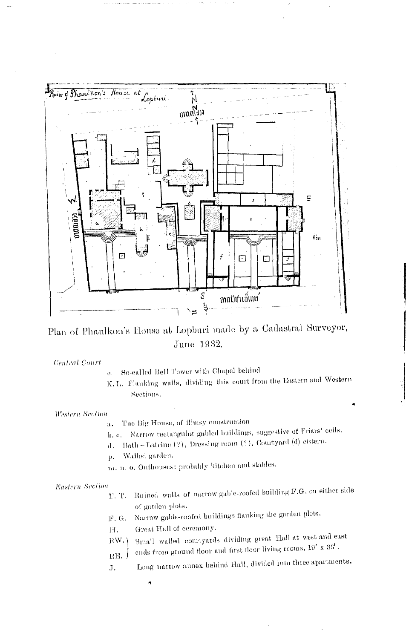

Plan of Phaulkon's House at Lopburi made by a Cadastral Surveyor, June 1932.

**Central Court** 

So-called Bell Tower with Chapel behind  $\mathbf{e}$ .

K. L. Flanking walls, dividing this court from the Eastern and Western Sections.

Western Section

The Big House, of flimsy construction a.

- Narrow rectangular gabled buildings, suggestive of Friars' cells. b. e.
- Bath Latrine (?), Dressing room (?), Courtyard (d) cistern.  $d$ .
- Walled garden.  $\mathfrak{p}.$
- m. n. o. Outhouses: probably kitchen and stables.

#### **Eastern Section**

- Ruined walls of narrow gable-roofed building F.G. on either side T. T. of garden plots.
- Narrow gable-roofed buildings flanking the garden plots. F. G.
- Great Hall of ceremony. H.
- Small walled courtyards dividing great Hall at west and east RW. ends from ground floor and first floor living rooms,  $19'$   $\geq 33'$  . RE.
- Long narrow annex behind Hall, divided into three apartments.  $\bf J$  .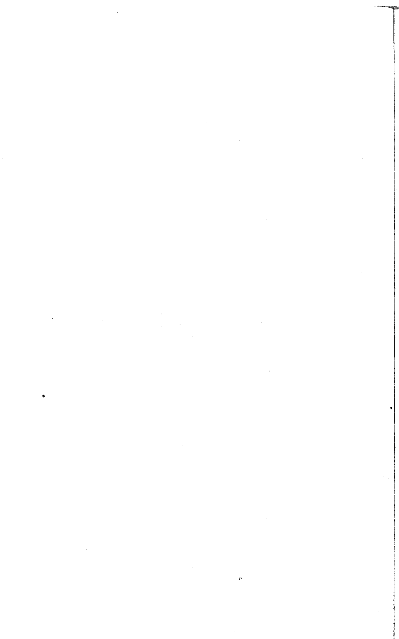$\label{eq:2.1} \frac{1}{\sqrt{2}}\int_{\mathbb{R}^3}\frac{1}{\sqrt{2}}\left(\frac{1}{\sqrt{2}}\right)^2\frac{1}{\sqrt{2}}\left(\frac{1}{\sqrt{2}}\right)^2\frac{1}{\sqrt{2}}\left(\frac{1}{\sqrt{2}}\right)^2\frac{1}{\sqrt{2}}\left(\frac{1}{\sqrt{2}}\right)^2.$  $\label{eq:2.1} \frac{1}{\sqrt{2\pi}}\int_{0}^{\infty}\frac{1}{\sqrt{2\pi}}\left(\frac{1}{\sqrt{2\pi}}\right)^{2\alpha} \frac{1}{\sqrt{2\pi}}\int_{0}^{\infty}\frac{1}{\sqrt{2\pi}}\left(\frac{1}{\sqrt{2\pi}}\right)^{2\alpha} \frac{1}{\sqrt{2\pi}}\frac{1}{\sqrt{2\pi}}\int_{0}^{\infty}\frac{1}{\sqrt{2\pi}}\frac{1}{\sqrt{2\pi}}\frac{1}{\sqrt{2\pi}}\frac{1}{\sqrt{2\pi}}\frac{1}{\sqrt{2\pi}}\frac{1}{\sqrt{$  $\frac{1}{2}$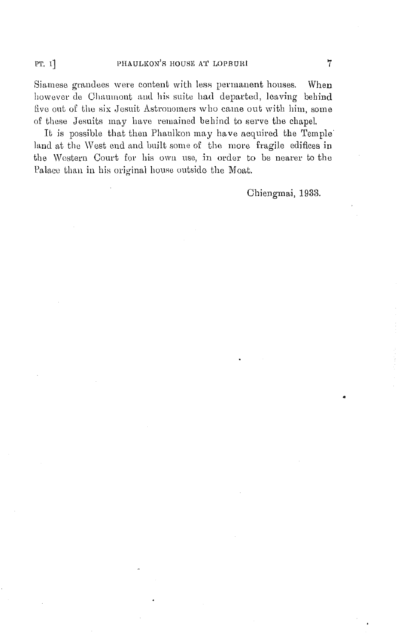Siamese grandees were content with less permanent houses. When however de Chaumont and his suite had departed, leaving behind five out of the six Jesuit Astronomers who came out with him, some of these Jesuits may have remained behind to serve the chapel.

It is possible that then Phaulkon may have acquired the Temple land at the West end and built some of the more fragile edifices in the Western Court for his own use, in order to be nearer to the Palace than in his original house outside the Moat.

Chiengmai, 1933.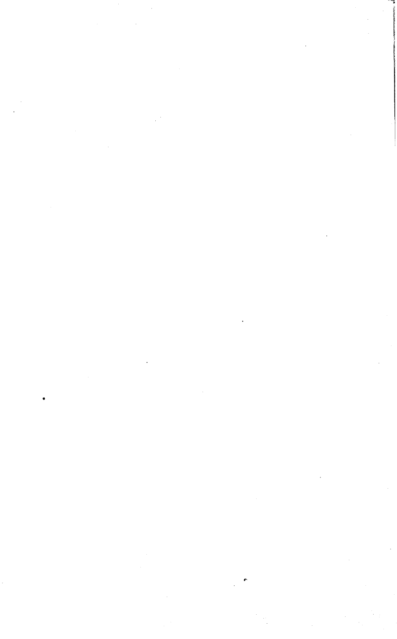